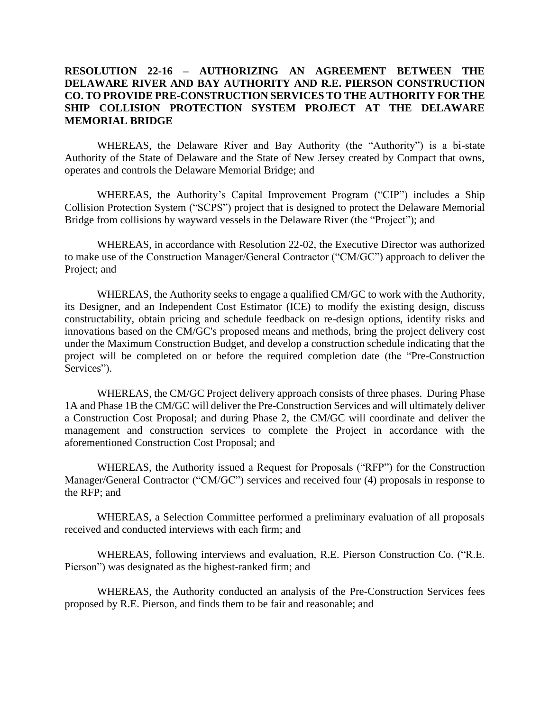## **RESOLUTION 22-16 – AUTHORIZING AN AGREEMENT BETWEEN THE DELAWARE RIVER AND BAY AUTHORITY AND R.E. PIERSON CONSTRUCTION CO. TO PROVIDE PRE-CONSTRUCTION SERVICES TO THE AUTHORITY FOR THE SHIP COLLISION PROTECTION SYSTEM PROJECT AT THE DELAWARE MEMORIAL BRIDGE**

WHEREAS, the Delaware River and Bay Authority (the "Authority") is a bi-state Authority of the State of Delaware and the State of New Jersey created by Compact that owns, operates and controls the Delaware Memorial Bridge; and

WHEREAS, the Authority's Capital Improvement Program ("CIP") includes a Ship Collision Protection System ("SCPS") project that is designed to protect the Delaware Memorial Bridge from collisions by wayward vessels in the Delaware River (the "Project"); and

WHEREAS, in accordance with Resolution 22-02, the Executive Director was authorized to make use of the Construction Manager/General Contractor ("CM/GC") approach to deliver the Project; and

WHEREAS, the Authority seeks to engage a qualified CM/GC to work with the Authority, its Designer, and an Independent Cost Estimator (ICE) to modify the existing design, discuss constructability, obtain pricing and schedule feedback on re-design options, identify risks and innovations based on the CM/GC's proposed means and methods, bring the project delivery cost under the Maximum Construction Budget, and develop a construction schedule indicating that the project will be completed on or before the required completion date (the "Pre-Construction Services").

WHEREAS, the CM/GC Project delivery approach consists of three phases. During Phase 1A and Phase 1B the CM/GC will deliver the Pre-Construction Services and will ultimately deliver a Construction Cost Proposal; and during Phase 2, the CM/GC will coordinate and deliver the management and construction services to complete the Project in accordance with the aforementioned Construction Cost Proposal; and

WHEREAS, the Authority issued a Request for Proposals ("RFP") for the Construction Manager/General Contractor ("CM/GC") services and received four (4) proposals in response to the RFP; and

WHEREAS, a Selection Committee performed a preliminary evaluation of all proposals received and conducted interviews with each firm; and

WHEREAS, following interviews and evaluation, R.E. Pierson Construction Co. ("R.E. Pierson") was designated as the highest-ranked firm; and

WHEREAS, the Authority conducted an analysis of the Pre-Construction Services fees proposed by R.E. Pierson, and finds them to be fair and reasonable; and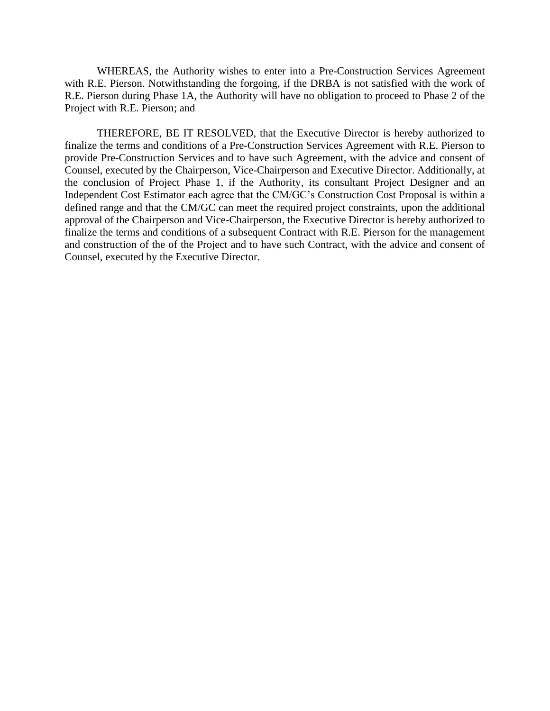WHEREAS, the Authority wishes to enter into a Pre-Construction Services Agreement with R.E. Pierson. Notwithstanding the forgoing, if the DRBA is not satisfied with the work of R.E. Pierson during Phase 1A, the Authority will have no obligation to proceed to Phase 2 of the Project with R.E. Pierson; and

THEREFORE, BE IT RESOLVED, that the Executive Director is hereby authorized to finalize the terms and conditions of a Pre-Construction Services Agreement with R.E. Pierson to provide Pre-Construction Services and to have such Agreement, with the advice and consent of Counsel, executed by the Chairperson, Vice-Chairperson and Executive Director. Additionally, at the conclusion of Project Phase 1, if the Authority, its consultant Project Designer and an Independent Cost Estimator each agree that the CM/GC's Construction Cost Proposal is within a defined range and that the CM/GC can meet the required project constraints, upon the additional approval of the Chairperson and Vice-Chairperson, the Executive Director is hereby authorized to finalize the terms and conditions of a subsequent Contract with R.E. Pierson for the management and construction of the of the Project and to have such Contract, with the advice and consent of Counsel, executed by the Executive Director.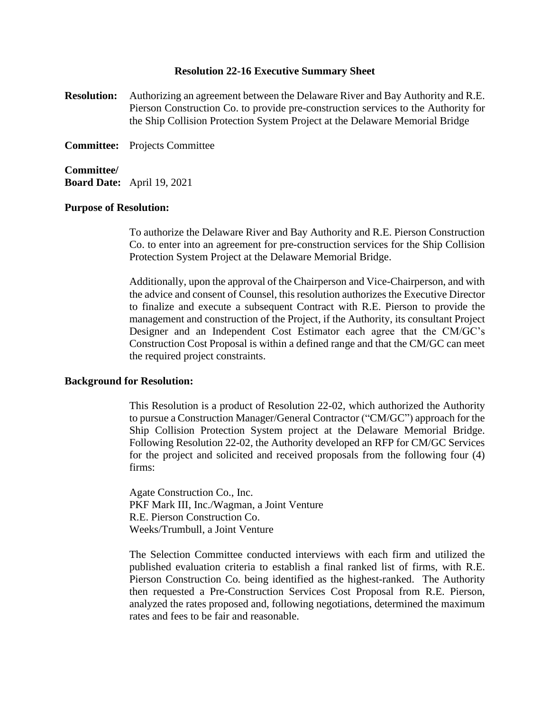## **Resolution 22-16 Executive Summary Sheet**

**Resolution:** Authorizing an agreement between the Delaware River and Bay Authority and R.E. Pierson Construction Co. to provide pre-construction services to the Authority for the Ship Collision Protection System Project at the Delaware Memorial Bridge

**Committee:** Projects Committee

**Committee/ Board Date:** April 19, 2021

## **Purpose of Resolution:**

To authorize the Delaware River and Bay Authority and R.E. Pierson Construction Co. to enter into an agreement for pre-construction services for the Ship Collision Protection System Project at the Delaware Memorial Bridge.

Additionally, upon the approval of the Chairperson and Vice-Chairperson, and with the advice and consent of Counsel, this resolution authorizes the Executive Director to finalize and execute a subsequent Contract with R.E. Pierson to provide the management and construction of the Project, if the Authority, its consultant Project Designer and an Independent Cost Estimator each agree that the CM/GC's Construction Cost Proposal is within a defined range and that the CM/GC can meet the required project constraints.

## **Background for Resolution:**

This Resolution is a product of Resolution 22-02, which authorized the Authority to pursue a Construction Manager/General Contractor ("CM/GC") approach for the Ship Collision Protection System project at the Delaware Memorial Bridge. Following Resolution 22-02, the Authority developed an RFP for CM/GC Services for the project and solicited and received proposals from the following four (4) firms:

Agate Construction Co., Inc. PKF Mark III, Inc./Wagman, a Joint Venture R.E. Pierson Construction Co. Weeks/Trumbull, a Joint Venture

The Selection Committee conducted interviews with each firm and utilized the published evaluation criteria to establish a final ranked list of firms, with R.E. Pierson Construction Co. being identified as the highest-ranked. The Authority then requested a Pre-Construction Services Cost Proposal from R.E. Pierson, analyzed the rates proposed and, following negotiations, determined the maximum rates and fees to be fair and reasonable.